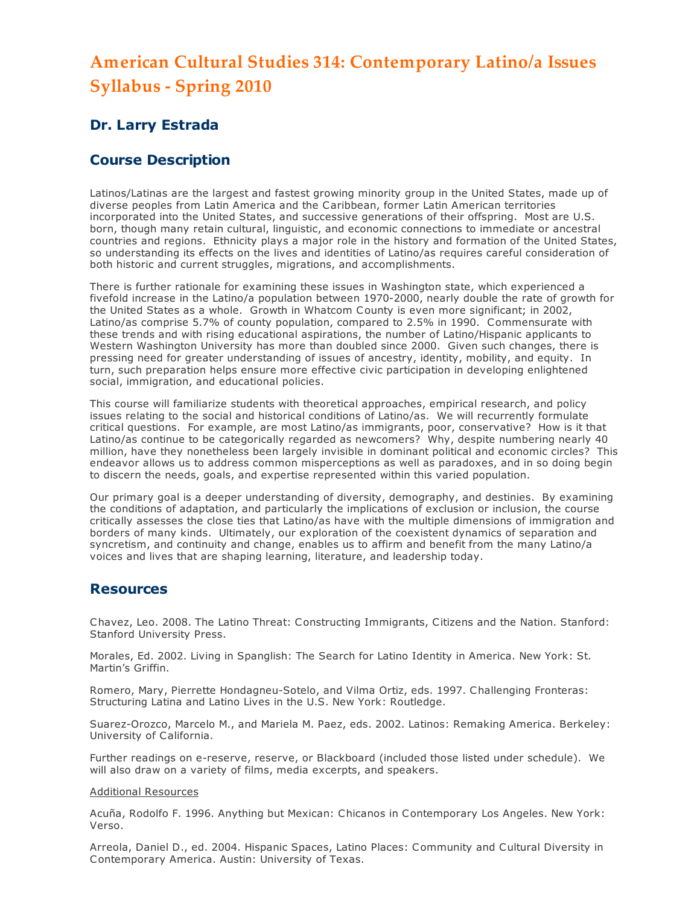# American Cultural Studies 314: Contemporary Latino/a Issues Syllabus - Spring 2010

# Dr. Larry Estrada

# Course Description

Latinos/Latinas are the largest and fastest growing minority group in the United States, made up of diverse peoples from Latin America and the Caribbean, former Latin American territories incorporated into the United States, and successive generations of their offspring. Most are U.S. born, though many retain cultural, linguistic, and economic connections to immediate or ancestral countries and regions. Ethnicity plays a major role in the history and formation of the United States, so understanding its effects on the lives and identities of Latino/as requires careful consideration of both historic and current struggles, migrations, and accomplishments.

There is further rationale for examining these issues in Washington state, which experienced a fivefold increase in the Latino/a population between 1970-2000, nearly double the rate of growth for the United States as a whole. Growth in Whatcom County is even more significant; in 2002, Latino/as comprise 5.7% of county population, compared to 2.5% in 1990. Commensurate with these trends and with rising educational aspirations, the number of Latino/Hispanic applicants to Western Washington University has more than doubled since 2000. Given such changes, there is pressing need for greater understanding of issues of ancestry, identity, mobility, and equity. In turn, such preparation helps ensure more effective civic participation in developing enlightened social, immigration, and educational policies.

This course will familiarize students with theoretical approaches, empirical research, and policy issues relating to the social and historical conditions of Latino/as. We will recurrently formulate critical questions. For example, are most Latino/as immigrants, poor, conservative? How is it that Latino/as continue to be categorically regarded as newcomers? Why, despite numbering nearly 40 million, have they nonetheless been largely invisible in dominant political and economic circles? This endeavor allows us to address common misperceptions as well as paradoxes, and in so doing begin to discern the needs, goals, and expertise represented within this varied population.

Our primary goal is a deeper understanding of diversity, demography, and destinies. By examining the conditions of adaptation, and particularly the implications of exclusion or inclusion, the course critically assesses the close ties that Latino/as have with the multiple dimensions of immigration and borders of many kinds. Ultimately, our exploration of the coexistent dynamics of separation and syncretism, and continuity and change, enables us to affirm and benefit from the many Latino/a voices and lives that are shaping learning, literature, and leadership today.

# **Resources**

Chavez, Leo. 2008. The Latino Threat: Constructing Immigrants, Citizens and the Nation. Stanford: Stanford University Press.

Morales, Ed. 2002. Living in Spanglish: The Search for Latino Identity in America. New York: St. Martin's Griffin.

Romero, Mary, Pierrette Hondagneu-Sotelo, and Vilma Ortiz, eds. 1997. Challenging Fronteras: Structuring Latina and Latino Lives in the U.S. New York: Routledge.

Suarez-Orozco, Marcelo M., and Mariela M. Paez, eds. 2002. Latinos: Remaking America. Berkeley: University of California.

Further readings on e-reserve, reserve, or Blackboard (included those listed under schedule). We will also draw on a variety of films, media excerpts, and speakers.

#### Additional Resources

Acuña, Rodolfo F. 1996. Anything but Mexican: Chicanos in Contemporary Los Angeles. New York: Verso.

Arreola, Daniel D., ed. 2004. Hispanic Spaces, Latino Places: Community and Cultural Diversity in Contemporary America. Austin: University of Texas.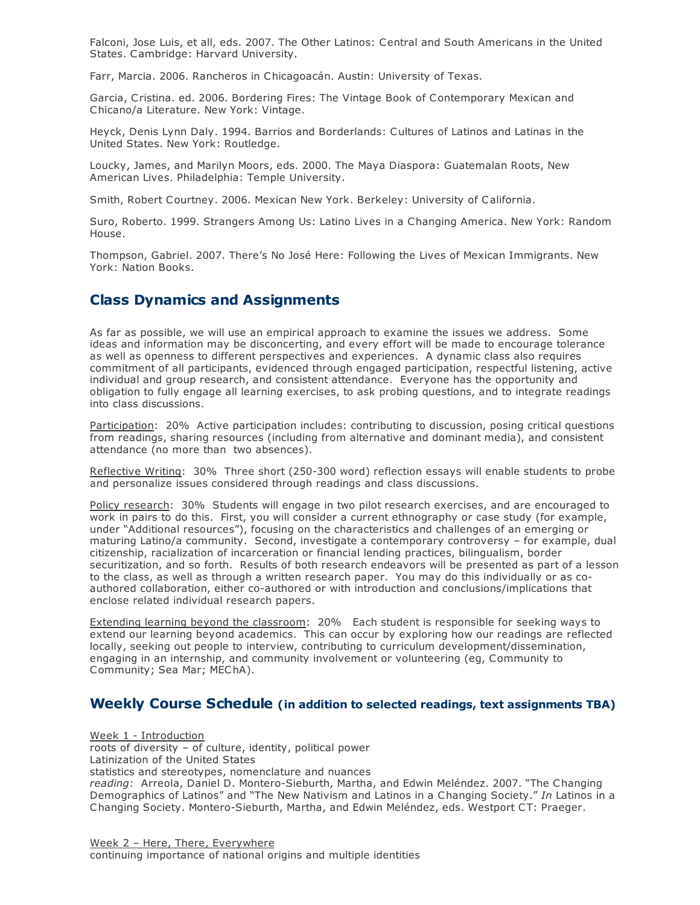Falconi, Jose Luis, et all, eds. 2007. The Other Latinos: Central and South Americans in the United States. Cambridge: Harvard University.

Farr, Marcia. 2006. Rancheros in Chicagoacán. Austin: University of Texas.

Garcia, Cristina. ed. 2006. Bordering Fires: The Vintage Book of Contemporary Mexican and Chicano/a Literature. New York: Vintage.

Heyck, Denis Lynn Daly. 1994. Barrios and Borderlands: Cultures of Latinos and Latinas in the United States. New York: Routledge.

Loucky, James, and Marilyn Moors, eds. 2000. The Maya Diaspora: Guatemalan Roots, New American Lives. Philadelphia: Temple University.

Smith, Robert Courtney. 2006. Mexican New York. Berkeley: University of California.

Suro, Roberto. 1999. Strangers Among Us: Latino Lives in a Changing America. New York: Random House.

Thompson, Gabriel. 2007. There's No José Here: Following the Lives of Mexican Immigrants. New York: Nation Books.

# Class Dynamics and Assignments

As far as possible, we will use an empirical approach to examine the issues we address. Some ideas and information may be disconcerting, and every effort will be made to encourage tolerance as well as openness to different perspectives and experiences. A dynamic class also requires commitment of all participants, evidenced through engaged participation, respectful listening, active individual and group research, and consistent attendance. Everyone has the opportunity and obligation to fully engage all learning exercises, to ask probing questions, and to integrate readings into class discussions.

Participation: 20% Active participation includes: contributing to discussion, posing critical questions from readings, sharing resources (including from alternative and dominant media), and consistent attendance (no more than two absences).

Reflective Writing: 30% Three short (250-300 word) reflection essays will enable students to probe and personalize issues considered through readings and class discussions.

Policy research: 30% Students will engage in two pilot research exercises, and are encouraged to work in pairs to do this. First, you will consider a current ethnography or case study (for example, under "Additional resources"), focusing on the characteristics and challenges of an emerging or maturing Latino/a community. Second, investigate a contemporary controversy – for example, dual citizenship, racialization of incarceration or financial lending practices, bilingualism, border securitization, and so forth. Results of both research endeavors will be presented as part of a lesson to the class, as well as through a written research paper. You may do this individually or as coauthored collaboration, either co-authored or with introduction and conclusions/implications that enclose related individual research papers.

Extending learning beyond the classroom: 20% Each student is responsible for seeking ways to extend our learning beyond academics. This can occur by exploring how our readings are reflected locally, seeking out people to interview, contributing to curriculum development/dissemination, engaging in an internship, and community involvement or volunteering (eg, Community to Community; Sea Mar; MEChA).

## Weekly Course Schedule (in addition to selected readings, text assignments TBA)

Week 1 - Introduction roots of diversity – of culture, identity, political power Latinization of the United States statistics and stereotypes, nomenclature and nuances reading: Arreola, Daniel D. Montero-Sieburth, Martha, and Edwin Meléndez. 2007. "The Changing Demographics of Latinos" and "The New Nativism and Latinos in a Changing Society." In Latinos in a Changing Society. Montero-Sieburth, Martha, and Edwin Meléndez, eds. Westport CT: Praeger.